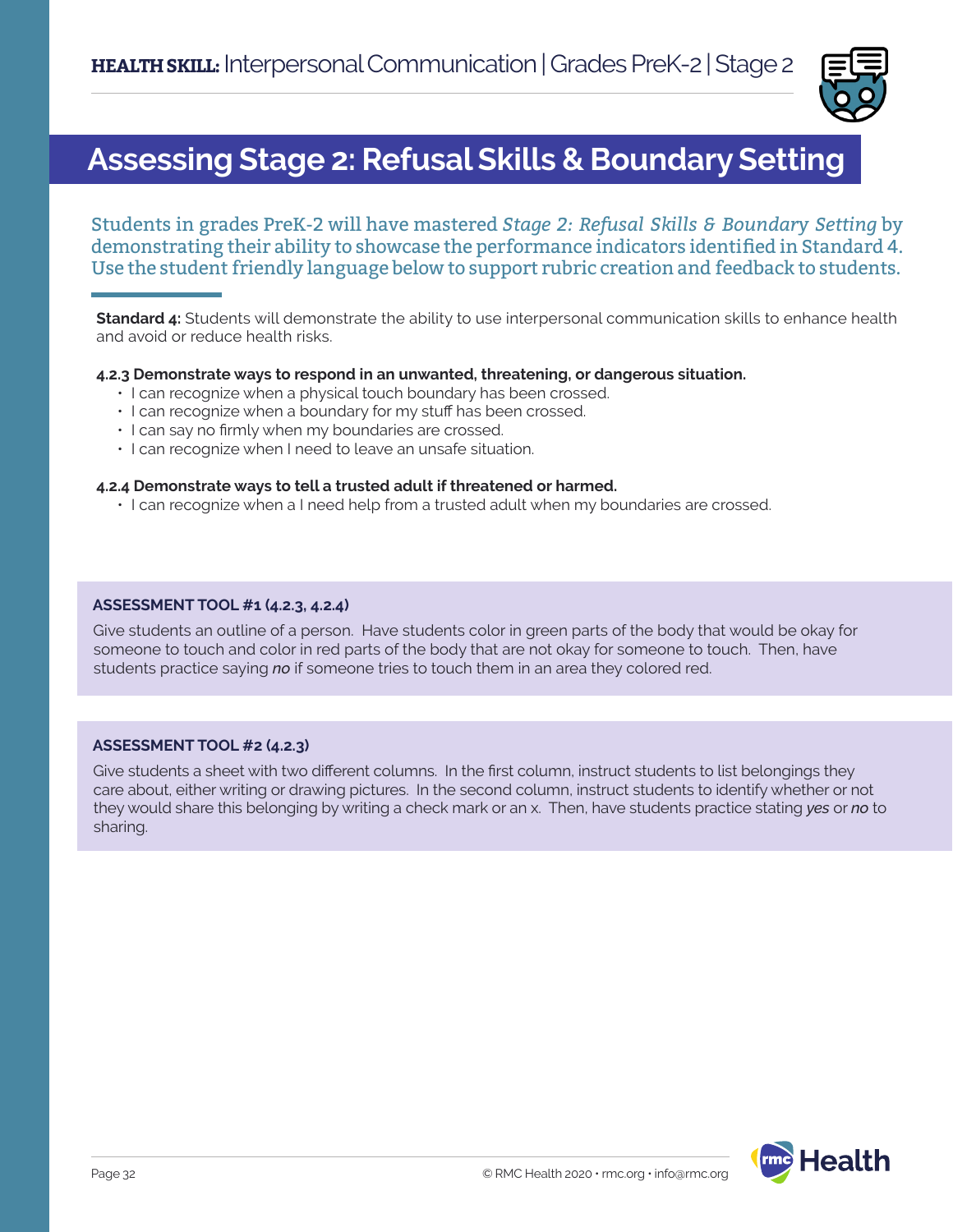

### **Assessing Stage 2: Refusal Skills & Boundary Setting**

Students in grades PreK-2 will have mastered *Stage 2: Refusal Skills & Boundary Setting* by demonstrating their ability to showcase the performance indicators identified in Standard 4. Use the student friendly language below to support rubric creation and feedback to students.

**Standard 4:** Students will demonstrate the ability to use interpersonal communication skills to enhance health and avoid or reduce health risks.

### **4.2.3 Demonstrate ways to respond in an unwanted, threatening, or dangerous situation.**

- I can recognize when a physical touch boundary has been crossed.
- I can recognize when a boundary for my stuff has been crossed.
- I can say no firmly when my boundaries are crossed.
- I can recognize when I need to leave an unsafe situation.

### **4.2.4 Demonstrate ways to tell a trusted adult if threatened or harmed.**

• I can recognize when a I need help from a trusted adult when my boundaries are crossed.

### **ASSESSMENT TOOL #1 (4.2.3, 4.2.4)**

Give students an outline of a person. Have students color in green parts of the body that would be okay for someone to touch and color in red parts of the body that are not okay for someone to touch. Then, have students practice saying *no* if someone tries to touch them in an area they colored red.

### **ASSESSMENT TOOL #2 (4.2.3)**

Give students a sheet with two different columns. In the first column, instruct students to list belongings they care about, either writing or drawing pictures. In the second column, instruct students to identify whether or not they would share this belonging by writing a check mark or an x. Then, have students practice stating *yes* or *no* to sharing.

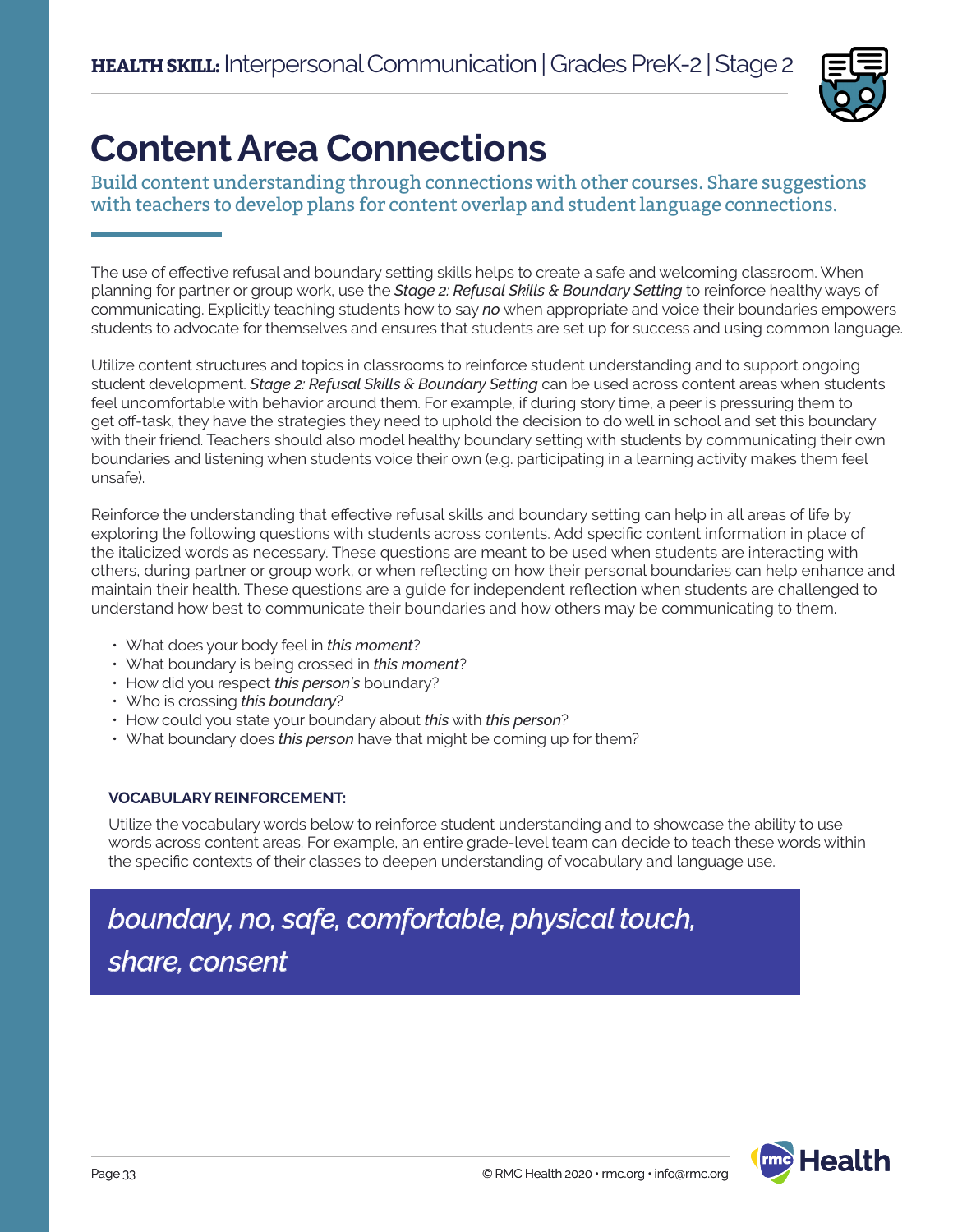

# **Content Area Connections**

Build content understanding through connections with other courses. Share suggestions with teachers to develop plans for content overlap and student language connections.

The use of effective refusal and boundary setting skills helps to create a safe and welcoming classroom. When planning for partner or group work, use the *Stage 2: Refusal Skills & Boundary Setting* to reinforce healthy ways of communicating. Explicitly teaching students how to say *no* when appropriate and voice their boundaries empowers students to advocate for themselves and ensures that students are set up for success and using common language.

Utilize content structures and topics in classrooms to reinforce student understanding and to support ongoing student development. *Stage 2: Refusal Skills & Boundary Setting* can be used across content areas when students feel uncomfortable with behavior around them. For example, if during story time, a peer is pressuring them to get off-task, they have the strategies they need to uphold the decision to do well in school and set this boundary with their friend. Teachers should also model healthy boundary setting with students by communicating their own boundaries and listening when students voice their own (e.g. participating in a learning activity makes them feel unsafe).

Reinforce the understanding that effective refusal skills and boundary setting can help in all areas of life by exploring the following questions with students across contents. Add specific content information in place of the italicized words as necessary. These questions are meant to be used when students are interacting with others, during partner or group work, or when reflecting on how their personal boundaries can help enhance and maintain their health. These questions are a guide for independent reflection when students are challenged to understand how best to communicate their boundaries and how others may be communicating to them.

- What does your body feel in *this moment*?
- What boundary is being crossed in *this moment*?
- How did you respect *this person's* boundary?
- Who is crossing *this boundary*?
- How could you state your boundary about *this* with *this person*?
- What boundary does *this person* have that might be coming up for them?

### **VOCABULARY REINFORCEMENT:**

Utilize the vocabulary words below to reinforce student understanding and to showcase the ability to use words across content areas. For example, an entire grade-level team can decide to teach these words within the specific contexts of their classes to deepen understanding of vocabulary and language use.

## *boundary, no, safe, comfortable, physical touch, share, consent*